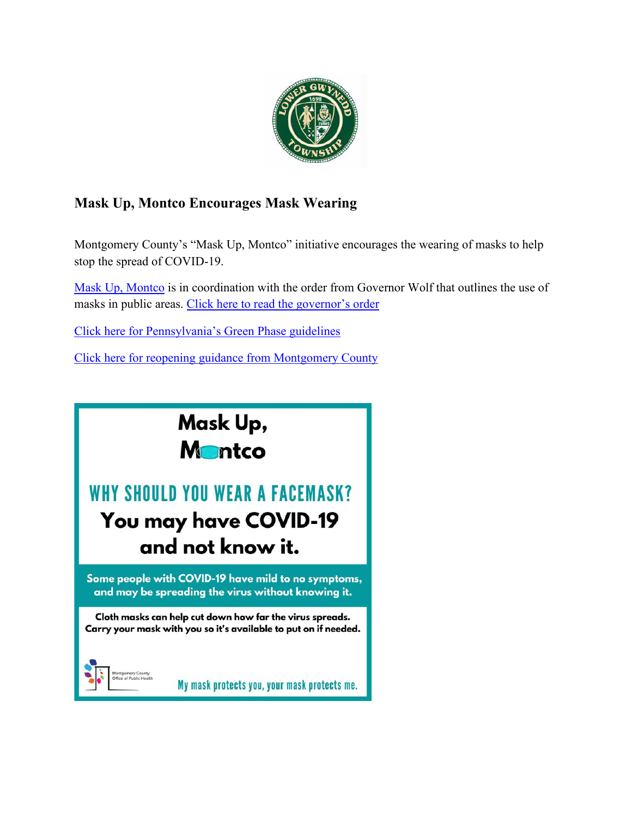

# **Mask Up, Montco Encourages Mask Wearing**

Montgomery County's "Mask Up, Montco" initiative encourages the wearing of masks to help stop the spread of COVID-19.

[Mask Up, Montco](https://www.montcopa.org/3541/Mask-Up-Montco) is in coordination with the order from Governor Wolf that outlines the use of masks in public areas. [Click here to read the governor's order](https://www.governor.pa.gov/wp-content/uploads/2020/07/20200701-SOH-Universal-Face-Coverings-Order.pdf)

[Click here for Pennsylvania's Green Phase guidelines](https://www.governor.pa.gov/newsroom/gov-wolf-12-more-counties-to-go-green-on-june-26/)

[Click here for reopening guidance from Montgomery County](https://www.montcopa.org/3524/Reopening-Guidance)

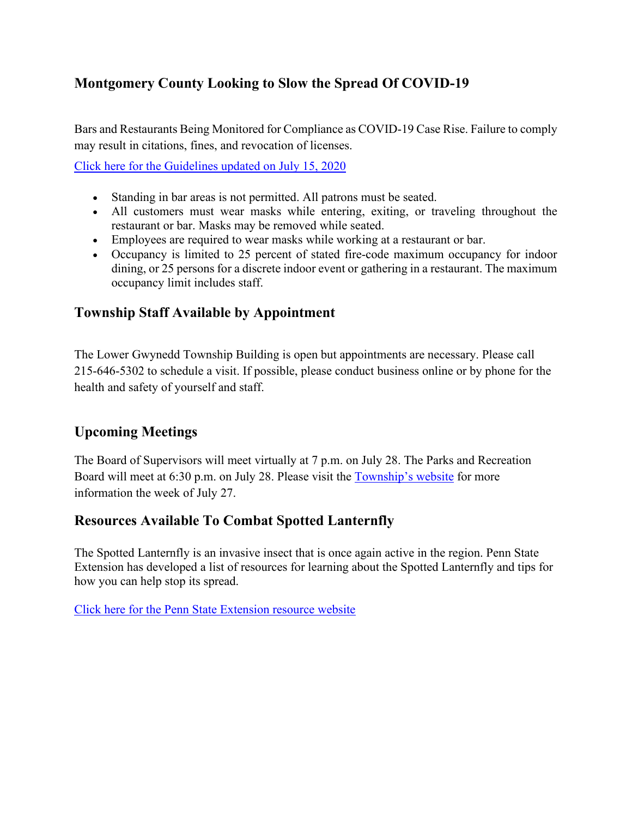## **Montgomery County Looking to Slow the Spread Of COVID-19**

Bars and Restaurants Being Monitored for Compliance as COVID-19 Case Rise. Failure to comply may result in citations, fines, and revocation of licenses.

[Click here for the Guidelines updated on July 15, 2020](https://www.media.pa.gov/pages/Education-details.aspx?newsid=904)

- Standing in bar areas is not permitted. All patrons must be seated.
- All customers must wear masks while entering, exiting, or traveling throughout the restaurant or bar. Masks may be removed while seated.
- Employees are required to wear masks while working at a restaurant or bar.
- Occupancy is limited to 25 percent of stated fire-code maximum occupancy for indoor dining, or 25 persons for a discrete indoor event or gathering in a restaurant. The maximum occupancy limit includes staff.

#### **Township Staff Available by Appointment**

The Lower Gwynedd Township Building is open but appointments are necessary. Please call 215-646-5302 to schedule a visit. If possible, please conduct business online or by phone for the health and safety of yourself and staff.

### **Upcoming Meetings**

The Board of Supervisors will meet virtually at 7 p.m. on July 28. The Parks and Recreation Board will meet at 6:30 p.m. on July 28. Please visit the [Township's website](https://www.lowergwynedd.org/website-resources/calendar.aspx) for more information the week of July 27.

### **Resources Available To Combat Spotted Lanternfly**

The Spotted Lanternfly is an invasive insect that is once again active in the region. Penn State Extension has developed a list of resources for learning about the Spotted Lanternfly and tips for how you can help stop its spread.

[Click here for the Penn State Extension resource website](https://extension.psu.edu/spotted-lanternfly)